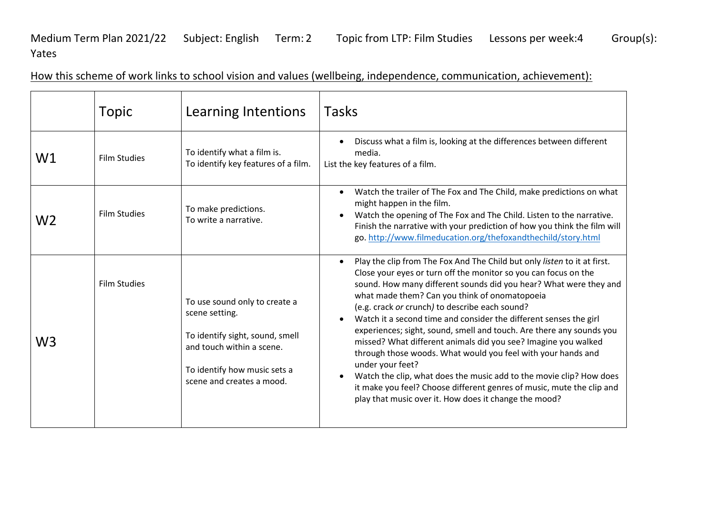Medium Term Plan 2021/22 Subject: English Term: 2 Topic from LTP: Film Studies Lessons per week: 4 Group(s): Yates

| How this scheme of work links to school vision and values (wellbeing, independence, communication, achievement): |  |  |
|------------------------------------------------------------------------------------------------------------------|--|--|
|                                                                                                                  |  |  |

|    | <b>Topic</b>        | Learning Intentions                                                                                                                                                          | <b>Tasks</b>                                                                                                                                                                                                                                                                                                                                                                                                                                                                                                                                                                                                                                                                                                                                                                                                                    |
|----|---------------------|------------------------------------------------------------------------------------------------------------------------------------------------------------------------------|---------------------------------------------------------------------------------------------------------------------------------------------------------------------------------------------------------------------------------------------------------------------------------------------------------------------------------------------------------------------------------------------------------------------------------------------------------------------------------------------------------------------------------------------------------------------------------------------------------------------------------------------------------------------------------------------------------------------------------------------------------------------------------------------------------------------------------|
| W1 | <b>Film Studies</b> | To identify what a film is.<br>To identify key features of a film.                                                                                                           | Discuss what a film is, looking at the differences between different<br>media.<br>List the key features of a film.                                                                                                                                                                                                                                                                                                                                                                                                                                                                                                                                                                                                                                                                                                              |
| W2 | <b>Film Studies</b> | To make predictions.<br>To write a narrative.                                                                                                                                | Watch the trailer of The Fox and The Child, make predictions on what<br>$\bullet$<br>might happen in the film.<br>Watch the opening of The Fox and The Child. Listen to the narrative.<br>Finish the narrative with your prediction of how you think the film will<br>go. http://www.filmeducation.org/thefoxandthechild/story.html                                                                                                                                                                                                                                                                                                                                                                                                                                                                                             |
| W3 | <b>Film Studies</b> | To use sound only to create a<br>scene setting.<br>To identify sight, sound, smell<br>and touch within a scene.<br>To identify how music sets a<br>scene and creates a mood. | Play the clip from The Fox And The Child but only listen to it at first.<br>Close your eyes or turn off the monitor so you can focus on the<br>sound. How many different sounds did you hear? What were they and<br>what made them? Can you think of onomatopoeia<br>(e.g. crack or crunch) to describe each sound?<br>Watch it a second time and consider the different senses the girl<br>experiences; sight, sound, smell and touch. Are there any sounds you<br>missed? What different animals did you see? Imagine you walked<br>through those woods. What would you feel with your hands and<br>under your feet?<br>Watch the clip, what does the music add to the movie clip? How does<br>it make you feel? Choose different genres of music, mute the clip and<br>play that music over it. How does it change the mood? |